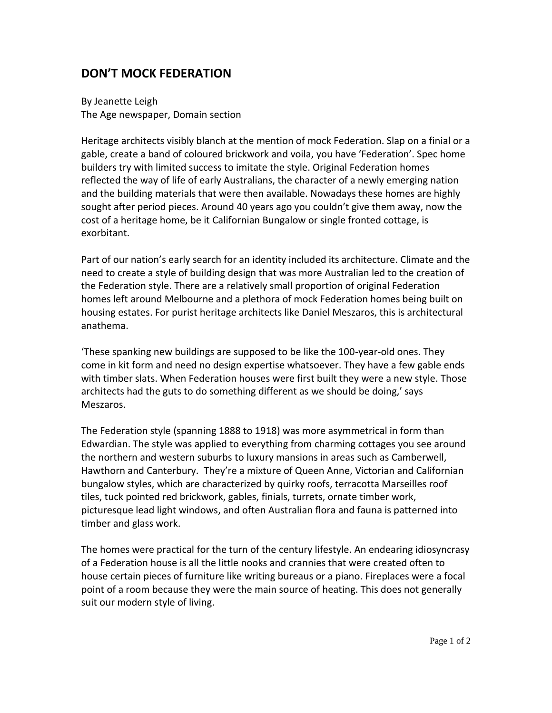## **DON'T MOCK FEDERATION**

By Jeanette Leigh The Age newspaper, Domain section

Heritage architects visibly blanch at the mention of mock Federation. Slap on a finial or a gable, create a band of coloured brickwork and voila, you have 'Federation'. Spec home builders try with limited success to imitate the style. Original Federation homes reflected the way of life of early Australians, the character of a newly emerging nation and the building materials that were then available. Nowadays these homes are highly sought after period pieces. Around 40 years ago you couldn't give them away, now the cost of a heritage home, be it Californian Bungalow or single fronted cottage, is exorbitant.

Part of our nation's early search for an identity included its architecture. Climate and the need to create a style of building design that was more Australian led to the creation of the Federation style. There are a relatively small proportion of original Federation homes left around Melbourne and a plethora of mock Federation homes being built on housing estates. For purist heritage architects like Daniel Meszaros, this is architectural anathema.

'These spanking new buildings are supposed to be like the 100-year-old ones. They come in kit form and need no design expertise whatsoever. They have a few gable ends with timber slats. When Federation houses were first built they were a new style. Those architects had the guts to do something different as we should be doing,' says Meszaros.

The Federation style (spanning 1888 to 1918) was more asymmetrical in form than Edwardian. The style was applied to everything from charming cottages you see around the northern and western suburbs to luxury mansions in areas such as Camberwell, Hawthorn and Canterbury. They're a mixture of Queen Anne, Victorian and Californian bungalow styles, which are characterized by quirky roofs, terracotta Marseilles roof tiles, tuck pointed red brickwork, gables, finials, turrets, ornate timber work, picturesque lead light windows, and often Australian flora and fauna is patterned into timber and glass work.

The homes were practical for the turn of the century lifestyle. An endearing idiosyncrasy of a Federation house is all the little nooks and crannies that were created often to house certain pieces of furniture like writing bureaus or a piano. Fireplaces were a focal point of a room because they were the main source of heating. This does not generally suit our modern style of living.